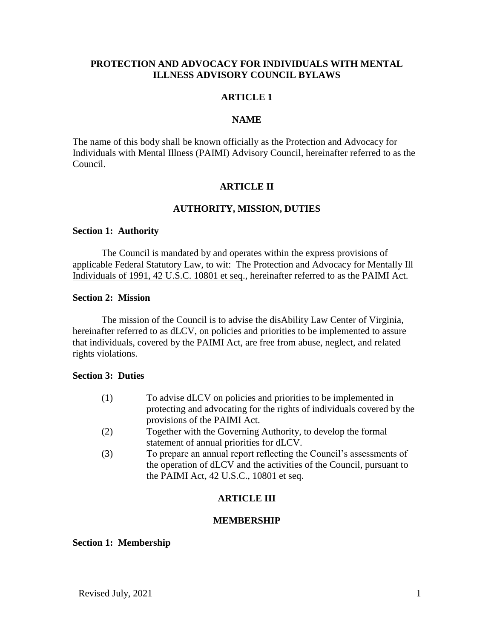# **PROTECTION AND ADVOCACY FOR INDIVIDUALS WITH MENTAL ILLNESS ADVISORY COUNCIL BYLAWS**

# **ARTICLE 1**

## **NAME**

The name of this body shall be known officially as the Protection and Advocacy for Individuals with Mental Illness (PAIMI) Advisory Council, hereinafter referred to as the Council.

# **ARTICLE II**

# **AUTHORITY, MISSION, DUTIES**

#### **Section 1: Authority**

The Council is mandated by and operates within the express provisions of applicable Federal Statutory Law, to wit: The Protection and Advocacy for Mentally Ill Individuals of 1991, 42 U.S.C. 10801 et seq., hereinafter referred to as the PAIMI Act.

# **Section 2: Mission**

The mission of the Council is to advise the disAbility Law Center of Virginia, hereinafter referred to as dLCV, on policies and priorities to be implemented to assure that individuals, covered by the PAIMI Act, are free from abuse, neglect, and related rights violations.

#### **Section 3: Duties**

| (1) | To advise dLCV on policies and priorities to be implemented in         |
|-----|------------------------------------------------------------------------|
|     | protecting and advocating for the rights of individuals covered by the |
|     | provisions of the PAIMI Act.                                           |
| (2) | Together with the Governing Authority, to develop the formal           |
|     | statement of annual priorities for dLCV.                               |

(3) To prepare an annual report reflecting the Council's assessments of the operation of dLCV and the activities of the Council, pursuant to the PAIMI Act, 42 U.S.C., 10801 et seq.

# **ARTICLE III**

### **MEMBERSHIP**

### **Section 1: Membership**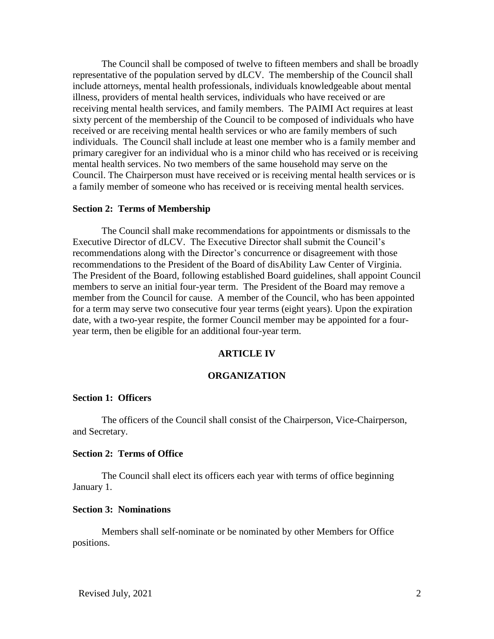The Council shall be composed of twelve to fifteen members and shall be broadly representative of the population served by dLCV. The membership of the Council shall include attorneys, mental health professionals, individuals knowledgeable about mental illness, providers of mental health services, individuals who have received or are receiving mental health services, and family members. The PAIMI Act requires at least sixty percent of the membership of the Council to be composed of individuals who have received or are receiving mental health services or who are family members of such individuals. The Council shall include at least one member who is a family member and primary caregiver for an individual who is a minor child who has received or is receiving mental health services. No two members of the same household may serve on the Council. The Chairperson must have received or is receiving mental health services or is a family member of someone who has received or is receiving mental health services.

#### **Section 2: Terms of Membership**

The Council shall make recommendations for appointments or dismissals to the Executive Director of dLCV. The Executive Director shall submit the Council's recommendations along with the Director's concurrence or disagreement with those recommendations to the President of the Board of disAbility Law Center of Virginia. The President of the Board, following established Board guidelines, shall appoint Council members to serve an initial four-year term. The President of the Board may remove a member from the Council for cause. A member of the Council, who has been appointed for a term may serve two consecutive four year terms (eight years). Upon the expiration date, with a two-year respite, the former Council member may be appointed for a fouryear term, then be eligible for an additional four-year term.

### **ARTICLE IV**

### **ORGANIZATION**

### **Section 1: Officers**

The officers of the Council shall consist of the Chairperson, Vice-Chairperson, and Secretary.

#### **Section 2: Terms of Office**

The Council shall elect its officers each year with terms of office beginning January 1.

#### **Section 3: Nominations**

Members shall self-nominate or be nominated by other Members for Office positions.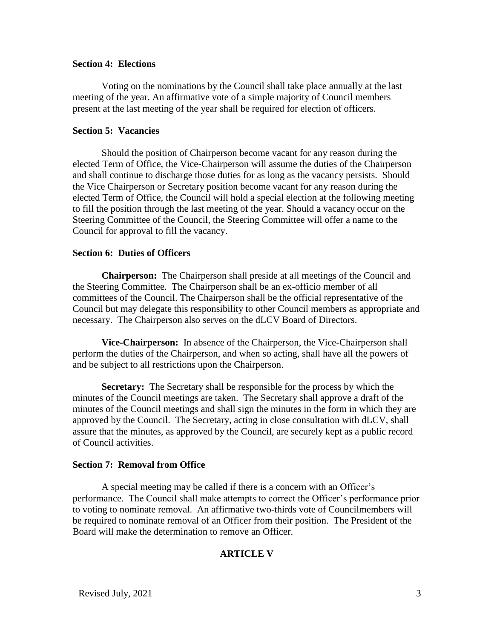## **Section 4: Elections**

Voting on the nominations by the Council shall take place annually at the last meeting of the year. An affirmative vote of a simple majority of Council members present at the last meeting of the year shall be required for election of officers.

# **Section 5: Vacancies**

Should the position of Chairperson become vacant for any reason during the elected Term of Office, the Vice-Chairperson will assume the duties of the Chairperson and shall continue to discharge those duties for as long as the vacancy persists. Should the Vice Chairperson or Secretary position become vacant for any reason during the elected Term of Office, the Council will hold a special election at the following meeting to fill the position through the last meeting of the year. Should a vacancy occur on the Steering Committee of the Council, the Steering Committee will offer a name to the Council for approval to fill the vacancy.

## **Section 6: Duties of Officers**

**Chairperson:** The Chairperson shall preside at all meetings of the Council and the Steering Committee. The Chairperson shall be an ex-officio member of all committees of the Council. The Chairperson shall be the official representative of the Council but may delegate this responsibility to other Council members as appropriate and necessary. The Chairperson also serves on the dLCV Board of Directors.

**Vice-Chairperson:** In absence of the Chairperson, the Vice-Chairperson shall perform the duties of the Chairperson, and when so acting, shall have all the powers of and be subject to all restrictions upon the Chairperson.

**Secretary:** The Secretary shall be responsible for the process by which the minutes of the Council meetings are taken. The Secretary shall approve a draft of the minutes of the Council meetings and shall sign the minutes in the form in which they are approved by the Council. The Secretary, acting in close consultation with dLCV, shall assure that the minutes, as approved by the Council, are securely kept as a public record of Council activities.

# **Section 7: Removal from Office**

A special meeting may be called if there is a concern with an Officer's performance. The Council shall make attempts to correct the Officer's performance prior to voting to nominate removal. An affirmative two-thirds vote of Councilmembers will be required to nominate removal of an Officer from their position. The President of the Board will make the determination to remove an Officer.

# **ARTICLE V**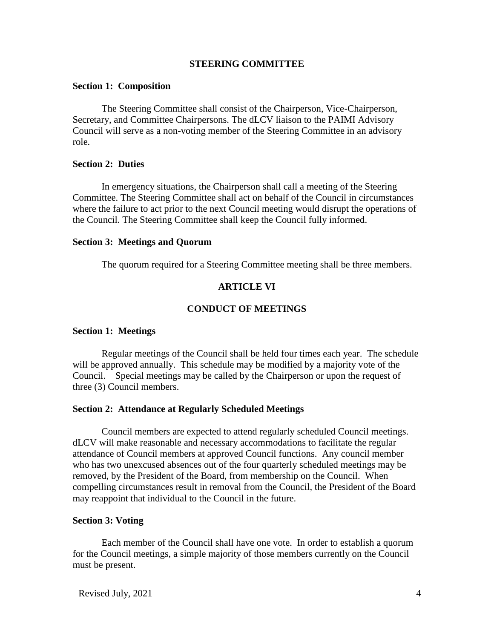## **STEERING COMMITTEE**

### **Section 1: Composition**

The Steering Committee shall consist of the Chairperson, Vice-Chairperson, Secretary, and Committee Chairpersons. The dLCV liaison to the PAIMI Advisory Council will serve as a non-voting member of the Steering Committee in an advisory role.

#### **Section 2: Duties**

In emergency situations, the Chairperson shall call a meeting of the Steering Committee. The Steering Committee shall act on behalf of the Council in circumstances where the failure to act prior to the next Council meeting would disrupt the operations of the Council. The Steering Committee shall keep the Council fully informed.

### **Section 3: Meetings and Quorum**

The quorum required for a Steering Committee meeting shall be three members.

### **ARTICLE VI**

### **CONDUCT OF MEETINGS**

#### **Section 1: Meetings**

Regular meetings of the Council shall be held four times each year. The schedule will be approved annually. This schedule may be modified by a majority vote of the Council. Special meetings may be called by the Chairperson or upon the request of three (3) Council members.

### **Section 2: Attendance at Regularly Scheduled Meetings**

Council members are expected to attend regularly scheduled Council meetings. dLCV will make reasonable and necessary accommodations to facilitate the regular attendance of Council members at approved Council functions. Any council member who has two unexcused absences out of the four quarterly scheduled meetings may be removed, by the President of the Board, from membership on the Council. When compelling circumstances result in removal from the Council, the President of the Board may reappoint that individual to the Council in the future.

## **Section 3: Voting**

Each member of the Council shall have one vote. In order to establish a quorum for the Council meetings, a simple majority of those members currently on the Council must be present.

Revised July, 2021 4